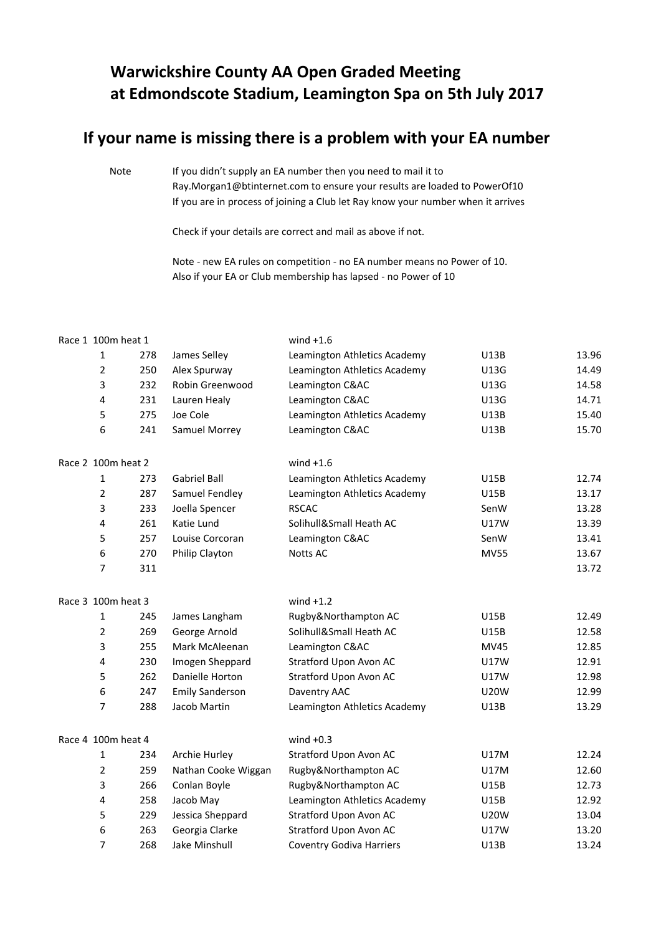## **Warwickshire County AA Open Graded Meeting at Edmondscote Stadium, Leamington Spa on 5th July 2017**

## **If your name is missing there is a problem with your EA number**

Note If you didn't supply an EA number then you need to mail it to [Ray.Morgan1@btinternet.com to ensure your results are loaded to PowerOf10](mailto:Ray.Morgan1@btinternet.com%20to%20ensure%20your%20results%20are%20loaded%20to%20PowerOf10) If you are in process of joining a Club let Ray know your number when it arrives

Check if your details are correct and mail as above if not.

Note - new EA rules on competition - no EA number means no Power of 10. Also if your EA or Club membership has lapsed - no Power of 10

| Race 1 100m heat 1 |     |                        | wind $+1.6$                     |             |       |
|--------------------|-----|------------------------|---------------------------------|-------------|-------|
| 1                  | 278 | James Selley           | Leamington Athletics Academy    | U13B        | 13.96 |
| $\overline{2}$     | 250 | Alex Spurway           | Leamington Athletics Academy    | U13G        | 14.49 |
| 3                  | 232 | Robin Greenwood        | Leamington C&AC                 | U13G        | 14.58 |
| 4                  | 231 | Lauren Healy           | Leamington C&AC                 | U13G        | 14.71 |
| 5                  | 275 | Joe Cole               | Leamington Athletics Academy    | <b>U13B</b> | 15.40 |
| 6                  | 241 | Samuel Morrey          | Leamington C&AC                 | U13B        | 15.70 |
| Race 2 100m heat 2 |     |                        | wind $+1.6$                     |             |       |
| $\mathbf{1}$       | 273 | <b>Gabriel Ball</b>    | Leamington Athletics Academy    | U15B        | 12.74 |
| $\overline{2}$     | 287 | Samuel Fendley         | Leamington Athletics Academy    | U15B        | 13.17 |
| 3                  | 233 | Joella Spencer         | <b>RSCAC</b>                    | SenW        | 13.28 |
| 4                  | 261 | Katie Lund             | Solihull&Small Heath AC         | <b>U17W</b> | 13.39 |
| 5                  | 257 | Louise Corcoran        | Leamington C&AC                 | SenW        | 13.41 |
| 6                  | 270 | Philip Clayton         | Notts AC                        | <b>MV55</b> | 13.67 |
| 7                  | 311 |                        |                                 |             | 13.72 |
| Race 3 100m heat 3 |     |                        | wind $+1.2$                     |             |       |
| $\mathbf{1}$       | 245 | James Langham          | Rugby&Northampton AC            | U15B        | 12.49 |
| $\overline{2}$     | 269 | George Arnold          | Solihull&Small Heath AC         | U15B        | 12.58 |
| 3                  | 255 | Mark McAleenan         | Leamington C&AC                 | MV45        | 12.85 |
| 4                  | 230 | Imogen Sheppard        | Stratford Upon Avon AC          | U17W        | 12.91 |
| 5                  | 262 | Danielle Horton        | Stratford Upon Avon AC          | U17W        | 12.98 |
| 6                  | 247 | <b>Emily Sanderson</b> | Daventry AAC                    | <b>U20W</b> | 12.99 |
| 7                  | 288 | Jacob Martin           | Leamington Athletics Academy    | U13B        | 13.29 |
| Race 4 100m heat 4 |     |                        | wind $+0.3$                     |             |       |
| $\mathbf{1}$       | 234 | Archie Hurley          | Stratford Upon Avon AC          | <b>U17M</b> | 12.24 |
| 2                  | 259 | Nathan Cooke Wiggan    | Rugby&Northampton AC            | <b>U17M</b> | 12.60 |
| 3                  | 266 | Conlan Boyle           | Rugby&Northampton AC            | <b>U15B</b> | 12.73 |
| 4                  | 258 | Jacob May              | Leamington Athletics Academy    | U15B        | 12.92 |
| 5                  | 229 | Jessica Sheppard       | Stratford Upon Avon AC          | <b>U20W</b> | 13.04 |
| 6                  | 263 | Georgia Clarke         | Stratford Upon Avon AC          | <b>U17W</b> | 13.20 |
| 7                  | 268 | Jake Minshull          | <b>Coventry Godiva Harriers</b> | U13B        | 13.24 |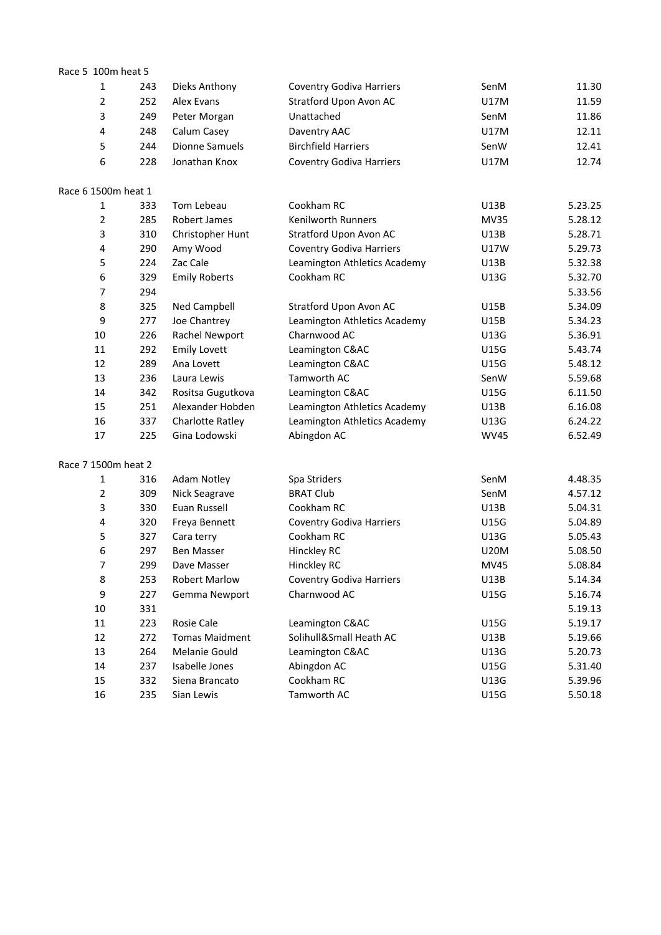| Race 5 100m heat 5  |     |                         |                                 |             |         |
|---------------------|-----|-------------------------|---------------------------------|-------------|---------|
| $\mathbf{1}$        | 243 | Dieks Anthony           | <b>Coventry Godiva Harriers</b> | SenM        | 11.30   |
| $\overline{2}$      | 252 | Alex Evans              | Stratford Upon Avon AC          | <b>U17M</b> | 11.59   |
| 3                   | 249 | Peter Morgan            | Unattached                      | SenM        | 11.86   |
| 4                   | 248 | Calum Casey             | Daventry AAC                    | <b>U17M</b> | 12.11   |
| 5                   | 244 | <b>Dionne Samuels</b>   | <b>Birchfield Harriers</b>      | SenW        | 12.41   |
| 6                   | 228 | Jonathan Knox           | <b>Coventry Godiva Harriers</b> | U17M        | 12.74   |
| Race 6 1500m heat 1 |     |                         |                                 |             |         |
| 1                   | 333 | Tom Lebeau              | Cookham RC                      | U13B        | 5.23.25 |
| 2                   | 285 | Robert James            | Kenilworth Runners              | <b>MV35</b> | 5.28.12 |
| 3                   | 310 | Christopher Hunt        | Stratford Upon Avon AC          | U13B        | 5.28.71 |
| 4                   | 290 | Amy Wood                | <b>Coventry Godiva Harriers</b> | <b>U17W</b> | 5.29.73 |
| 5                   | 224 | Zac Cale                | Leamington Athletics Academy    | U13B        | 5.32.38 |
| 6                   | 329 | <b>Emily Roberts</b>    | Cookham RC                      | U13G        | 5.32.70 |
| 7                   | 294 |                         |                                 |             | 5.33.56 |
| 8                   | 325 | Ned Campbell            | Stratford Upon Avon AC          | U15B        | 5.34.09 |
| 9                   | 277 | Joe Chantrey            | Leamington Athletics Academy    | U15B        | 5.34.23 |
| $10\,$              | 226 | Rachel Newport          | Charnwood AC                    | U13G        | 5.36.91 |
| 11                  | 292 | <b>Emily Lovett</b>     | Leamington C&AC                 | U15G        | 5.43.74 |
| 12                  | 289 | Ana Lovett              | Leamington C&AC                 | U15G        | 5.48.12 |
| 13                  | 236 | Laura Lewis             | Tamworth AC                     | SenW        | 5.59.68 |
| 14                  | 342 | Rositsa Gugutkova       | Leamington C&AC                 | U15G        | 6.11.50 |
| 15                  | 251 | Alexander Hobden        | Leamington Athletics Academy    | U13B        | 6.16.08 |
| 16                  | 337 | <b>Charlotte Ratley</b> | Leamington Athletics Academy    | U13G        | 6.24.22 |
| 17                  | 225 | Gina Lodowski           | Abingdon AC                     | <b>WV45</b> | 6.52.49 |
| Race 7 1500m heat 2 |     |                         |                                 |             |         |
| 1                   | 316 | Adam Notley             | Spa Striders                    | SenM        | 4.48.35 |
| $\overline{2}$      | 309 | Nick Seagrave           | <b>BRAT Club</b>                | SenM        | 4.57.12 |
| 3                   | 330 | Euan Russell            | Cookham RC                      | U13B        | 5.04.31 |
| 4                   | 320 | Freya Bennett           | <b>Coventry Godiva Harriers</b> | U15G        | 5.04.89 |
| 5                   | 327 | Cara terry              | Cookham RC                      | U13G        | 5.05.43 |
| 6                   | 297 | <b>Ben Masser</b>       | Hinckley RC                     | <b>U20M</b> | 5.08.50 |
| $\overline{7}$      | 299 | Dave Masser             | Hinckley RC                     | <b>MV45</b> | 5.08.84 |
| 8                   | 253 | <b>Robert Marlow</b>    | <b>Coventry Godiva Harriers</b> | U13B        | 5.14.34 |
| 9                   | 227 | Gemma Newport           | Charnwood AC                    | U15G        | 5.16.74 |
| $10\,$              | 331 |                         |                                 |             | 5.19.13 |
| 11                  | 223 | Rosie Cale              | Leamington C&AC                 | U15G        | 5.19.17 |
| 12                  | 272 | <b>Tomas Maidment</b>   | Solihull&Small Heath AC         | U13B        | 5.19.66 |
| 13                  | 264 | Melanie Gould           | Leamington C&AC                 | U13G        | 5.20.73 |
| 14                  | 237 | Isabelle Jones          | Abingdon AC                     | U15G        | 5.31.40 |
| 15                  | 332 | Siena Brancato          | Cookham RC                      | U13G        | 5.39.96 |
| 16                  | 235 | Sian Lewis              | Tamworth AC                     | U15G        | 5.50.18 |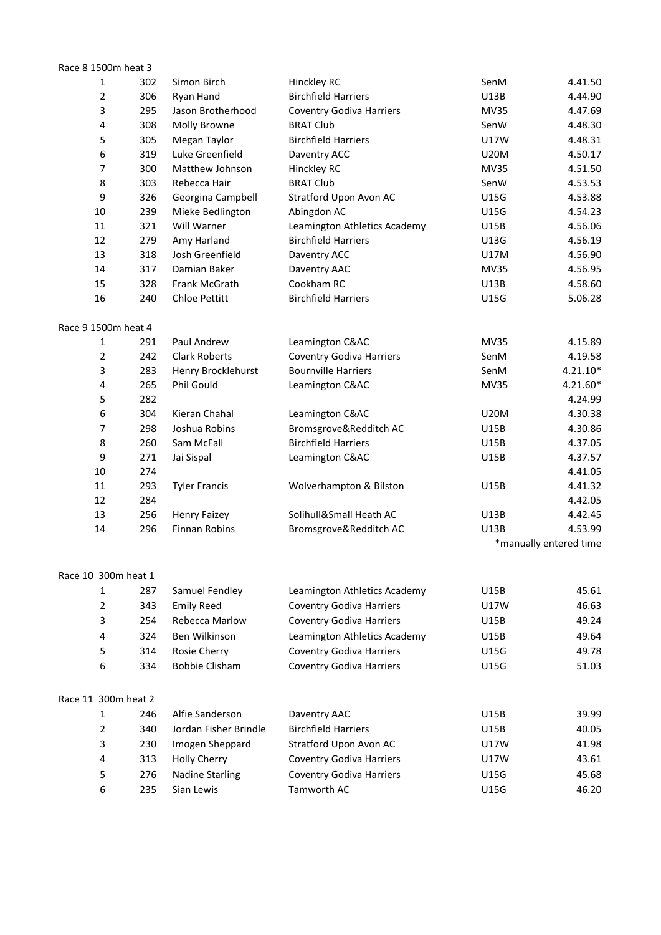| Race 8 1500m heat 3 |     |                        |                                            |             |                        |
|---------------------|-----|------------------------|--------------------------------------------|-------------|------------------------|
| 1                   | 302 | Simon Birch            | Hinckley RC                                | SenM        | 4.41.50                |
| $\overline{2}$      | 306 | Ryan Hand              | <b>Birchfield Harriers</b>                 | U13B        | 4.44.90                |
| 3                   | 295 | Jason Brotherhood      | <b>Coventry Godiva Harriers</b>            | <b>MV35</b> | 4.47.69                |
| 4                   | 308 | Molly Browne           | <b>BRAT Club</b>                           | SenW        | 4.48.30                |
| 5                   | 305 | Megan Taylor           | <b>Birchfield Harriers</b>                 | U17W        | 4.48.31                |
| 6                   | 319 | Luke Greenfield        | Daventry ACC                               | <b>U20M</b> | 4.50.17                |
| 7                   | 300 | Matthew Johnson        | Hinckley RC                                | <b>MV35</b> | 4.51.50                |
| 8                   | 303 | Rebecca Hair           | <b>BRAT Club</b>                           | SenW        | 4.53.53                |
| 9                   | 326 | Georgina Campbell      | Stratford Upon Avon AC                     | U15G        | 4.53.88                |
| $10\,$              | 239 | Mieke Bedlington       | Abingdon AC                                | U15G        | 4.54.23                |
| 11                  | 321 | Will Warner            | Leamington Athletics Academy               | U15B        | 4.56.06                |
| 12                  | 279 | Amy Harland            | <b>Birchfield Harriers</b>                 | U13G        | 4.56.19                |
| 13                  | 318 | Josh Greenfield        | Daventry ACC                               | U17M        | 4.56.90                |
| 14                  | 317 | Damian Baker           | Daventry AAC                               | <b>MV35</b> | 4.56.95                |
| 15                  | 328 | Frank McGrath          | Cookham RC                                 | U13B        | 4.58.60                |
| 16                  | 240 | Chloe Pettitt          | <b>Birchfield Harriers</b>                 | <b>U15G</b> | 5.06.28                |
| Race 9 1500m heat 4 |     |                        |                                            |             |                        |
| 1                   | 291 | Paul Andrew            | Leamington C&AC                            | <b>MV35</b> | 4.15.89                |
| $\overline{2}$      | 242 | <b>Clark Roberts</b>   | <b>Coventry Godiva Harriers</b>            | SenM        | 4.19.58                |
| 3                   | 283 | Henry Brocklehurst     | <b>Bournville Harriers</b>                 | SenM        | $4.21.10*$             |
| 4                   | 265 | Phil Gould             | Leamington C&AC                            | <b>MV35</b> | 4.21.60*               |
| 5                   | 282 |                        |                                            |             | 4.24.99                |
| 6                   | 304 | Kieran Chahal          | Leamington C&AC                            | <b>U20M</b> | 4.30.38                |
| 7                   | 298 | Joshua Robins          | Bromsgrove&Redditch AC                     | U15B        | 4.30.86                |
| 8                   | 260 | Sam McFall             | <b>Birchfield Harriers</b>                 | <b>U15B</b> | 4.37.05                |
| 9                   | 271 | Jai Sispal             | Leamington C&AC                            | <b>U15B</b> | 4.37.57                |
| $10\,$              | 274 |                        |                                            |             | 4.41.05                |
| 11                  | 293 | <b>Tyler Francis</b>   | Wolverhampton & Bilston                    | <b>U15B</b> | 4.41.32                |
| 12                  | 284 |                        |                                            |             | 4.42.05                |
| 13                  | 256 | <b>Henry Faizey</b>    | Solihull&Small Heath AC                    | U13B        | 4.42.45                |
| 14                  | 296 | <b>Finnan Robins</b>   | Bromsgrove&Redditch AC                     | <b>U13B</b> | 4.53.99                |
|                     |     |                        |                                            |             | *manually entered time |
| Race 10 300m heat 1 |     |                        |                                            |             |                        |
| $\mathbf{1}$        | 287 | Samuel Fendley         | Leamington Athletics Academy               | U15B        | 45.61                  |
| $\overline{2}$      | 343 | <b>Emily Reed</b>      | <b>Coventry Godiva Harriers</b>            | U17W        | 46.63                  |
| 3                   | 254 | <b>Rebecca Marlow</b>  | <b>Coventry Godiva Harriers</b>            | U15B        | 49.24                  |
| 4                   | 324 | Ben Wilkinson          | Leamington Athletics Academy               | U15B        | 49.64                  |
| 5                   | 314 | Rosie Cherry           | <b>Coventry Godiva Harriers</b>            | <b>U15G</b> | 49.78                  |
| 6                   | 334 | <b>Bobbie Clisham</b>  | <b>Coventry Godiva Harriers</b>            | U15G        | 51.03                  |
| Race 11 300m heat 2 |     |                        |                                            |             |                        |
| $\mathbf{1}$        | 246 | Alfie Sanderson        |                                            | U15B        | 39.99                  |
| $\overline{2}$      | 340 | Jordan Fisher Brindle  | Daventry AAC<br><b>Birchfield Harriers</b> |             |                        |
|                     |     |                        |                                            | U15B        | 40.05                  |
| 3                   | 230 | Imogen Sheppard        | Stratford Upon Avon AC                     | U17W        | 41.98                  |
| 4                   | 313 | <b>Holly Cherry</b>    | <b>Coventry Godiva Harriers</b>            | U17W        | 43.61                  |
| 5                   | 276 | <b>Nadine Starling</b> | <b>Coventry Godiva Harriers</b>            | <b>U15G</b> | 45.68                  |
| 6                   | 235 | Sian Lewis             | Tamworth AC                                | U15G        | 46.20                  |